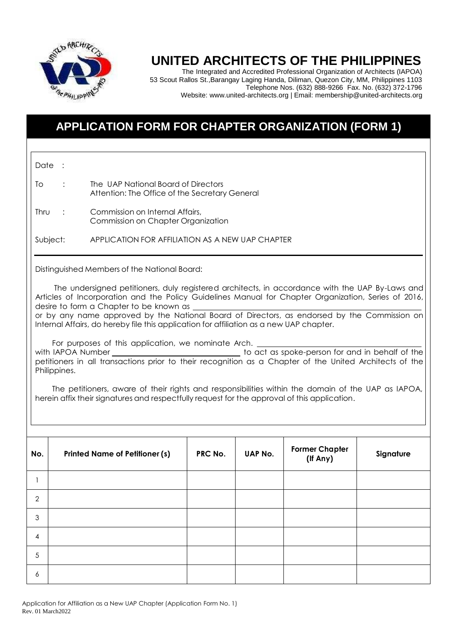

## **UNITED ARCHITECTS OF THE PHILIPPINES**

The Integrated and Accredited Professional Organization of Architects (IAPOA) 53 Scout Rallos St.,Barangay Laging Handa, Diliman, Quezon City, MM, Philippines 1103 Telephone Nos. (632) 888-9266 Fax. No. (632) 372-1796 Website: [www.united-architects.org](http://www.united-architects.org/) | Email: [membership@united-architects.org](mailto:membership@united-architects.org)

### **APPLICATION FORM FOR CHAPTER ORGANIZATION (FORM 1)**

Date : To : The UAP National Board of Directors Attention: The Office of the Secretary General Thru : Commission on Internal Affairs, Commission on Chapter Organization Subject: APPLICATION FOR AFFILIATION AS A NEW UAP CHAPTER Distinguished Members of the National Board: The undersigned petitioners, duly registered architects, in accordance with the UAP By-Laws and Articles of Incorporation and the Policy Guidelines Manual for Chapter Organization, Series of 2016, desire to form a Chapter to be known as or by any name approved by the National Board of Directors, as endorsed by the Commission on Internal Affairs, do hereby file this application for affiliation as a new UAP chapter. For purposes of this application, we nominate Arch. with IAPOA Number \_\_\_\_\_\_\_\_\_\_\_\_\_\_\_\_\_\_\_\_\_\_\_\_\_\_\_\_\_\_\_\_\_\_\_to act as spoke-person for and in behalf of the petitioners in all transactions prior to their recognition as a Chapter of the United Architects of the Philippines. The petitioners, aware of their rights and responsibilities within the domain of the UAP as IAPOA, herein affix their signatures and respectfully request for the approval of this application. **No. Printed Name of Petitioner (s) PRC No. UAP No. Former Chapter (If Any) Signature** 1  $\mathcal{L}$ 3 4 5 6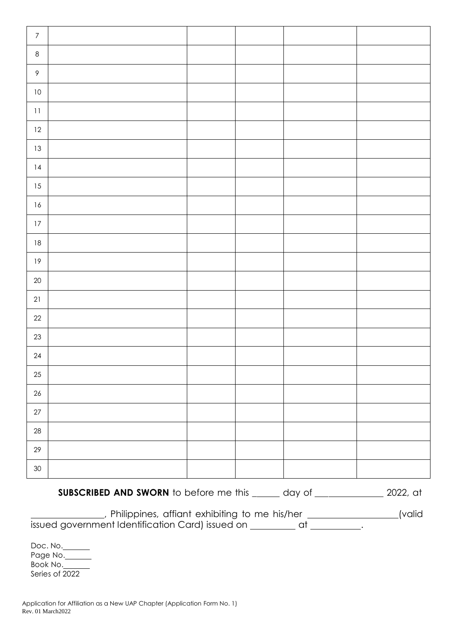| $\boldsymbol{7}$ |  |  |  |
|------------------|--|--|--|
| $\,8\,$          |  |  |  |
| $\mathsf{P}$     |  |  |  |
| $10\,$           |  |  |  |
| $\bf 11$         |  |  |  |
| $12\,$           |  |  |  |
| $13\,$           |  |  |  |
| $\sqrt{14}$      |  |  |  |
| 15               |  |  |  |
| $16\,$           |  |  |  |
| $17\,$           |  |  |  |
| $18\,$           |  |  |  |
| $19\,$           |  |  |  |
| $20\,$           |  |  |  |
| 21               |  |  |  |
| $22\,$           |  |  |  |
| 23               |  |  |  |
| $24\,$           |  |  |  |
| 25               |  |  |  |
| $26\,$           |  |  |  |
| $27\,$           |  |  |  |
| $28\,$           |  |  |  |
| $29\,$           |  |  |  |
| $30\,$           |  |  |  |

**SUBSCRIBED AND SWORN** to before me this \_\_\_\_\_ day of \_\_\_\_\_\_\_\_\_\_\_\_\_ 2022, at

, Philippines, affiant exhibiting to me his/her \_\_\_\_\_\_\_\_\_\_\_\_\_\_\_(valid issued government Identification Card) issued on \_\_\_\_\_\_\_\_ at \_\_\_\_\_\_\_\_\_.

Doc. No. Page No. Book No. Series of 2022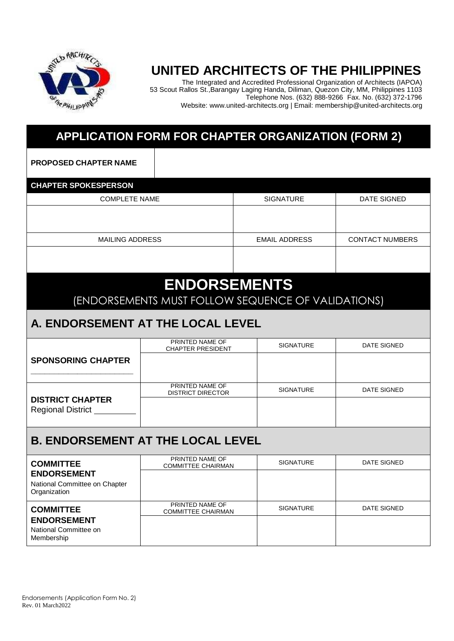

## **UNITED ARCHITECTS OF THE PHILIPPINES**

The Integrated and Accredited Professional Organization of Architects (IAPOA) 53 Scout Rallos St.,Barangay Laging Handa, Diliman, Quezon City, MM, Philippines 1103 Telephone Nos. (632) 888-9266 Fax. No. (632) 372-1796 Website: [www.united-architects.org](http://www.united-architects.org/) | Email: [membership@united-architects.org](mailto:membership@united-architects.org)

### **APPLICATION FORM FOR CHAPTER ORGANIZATION (FORM 2)**

**PROPOSED CHAPTER NAME**

| <b>CHAPTER SPOKESPERSON</b> |                      |                        |  |  |
|-----------------------------|----------------------|------------------------|--|--|
| <b>COMPLETE NAME</b>        | <b>SIGNATURE</b>     | DATE SIGNED            |  |  |
|                             |                      |                        |  |  |
|                             |                      |                        |  |  |
| <b>MAILING ADDRESS</b>      | <b>EMAIL ADDRESS</b> | <b>CONTACT NUMBERS</b> |  |  |
|                             |                      |                        |  |  |
|                             |                      |                        |  |  |

# **ENDORSEMENTS**

(ENDORSEMENTS MUST FOLLOW SEQUENCE OF VALIDATIONS)

#### **A. ENDORSEMENT AT THE LOCAL LEVEL**

|                                               | PRINTED NAME OF<br><b>CHAPTER PRESIDENT</b>  | <b>SIGNATURE</b> | <b>DATE SIGNED</b> |  |  |
|-----------------------------------------------|----------------------------------------------|------------------|--------------------|--|--|
| <b>SPONSORING CHAPTER</b>                     |                                              |                  |                    |  |  |
|                                               |                                              |                  |                    |  |  |
|                                               | PRINTED NAME OF<br><b>DISTRICT DIRECTOR</b>  | <b>SIGNATURE</b> | <b>DATE SIGNED</b> |  |  |
| <b>DISTRICT CHAPTER</b><br>Regional District_ |                                              |                  |                    |  |  |
| <b>B. ENDORSEMENT AT THE LOCAL LEVEL</b>      |                                              |                  |                    |  |  |
| <b>COMMITTEE</b>                              | PRINTED NAME OF<br><b>COMMITTEE CHAIRMAN</b> | <b>SIGNATURE</b> | <b>DATE SIGNED</b> |  |  |
| <b>ENDORSEMENT</b>                            |                                              |                  |                    |  |  |
| National Committee on Chapter<br>Organization |                                              |                  |                    |  |  |
|                                               |                                              |                  |                    |  |  |
| <b>COMMITTEE</b>                              | PRINTED NAME OF<br><b>COMMITTEE CHAIRMAN</b> | <b>SIGNATURE</b> | DATE SIGNED        |  |  |

National Committee on

Membership